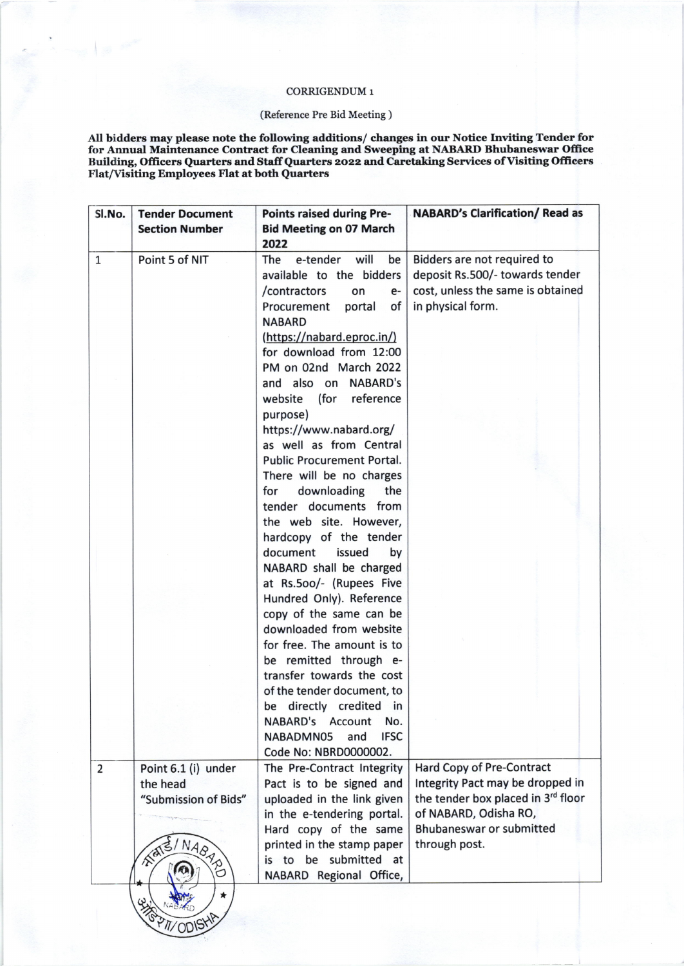## CORRIGENDUM 1

## (Reference Pre Bid Meeting )

All bidders may please note the following additions/ changes in our Notice Inviting Tender for for Annual Maintenance Contract for Cleaning and Sweeping at NABARD Bhubaneswar Office Building, Officers Quarters and Staff Quarters 2022 and Caretaking Services of Visiting Officers Flat/Visiting Employees Flat at both Quarters

| SI.No.         | <b>Tender Document</b> | <b>Points raised during Pre-</b>  | <b>NABARD's Clarification/ Read as</b> |
|----------------|------------------------|-----------------------------------|----------------------------------------|
|                | <b>Section Number</b>  | <b>Bid Meeting on 07 March</b>    |                                        |
|                |                        | 2022                              |                                        |
| $\mathbf{1}$   | Point 5 of NIT         | will<br>e-tender<br>be<br>The     | Bidders are not required to            |
|                |                        | available to the bidders          | deposit Rs.500/- towards tender        |
|                |                        | /contractors<br>on<br>e-          | cost, unless the same is obtained      |
|                |                        | Procurement<br>portal<br>of       | in physical form.                      |
|                |                        | <b>NABARD</b>                     |                                        |
|                |                        | (https://nabard.eproc.in/)        |                                        |
|                |                        | for download from 12:00           |                                        |
|                |                        | PM on 02nd March 2022             |                                        |
|                |                        | <b>NABARD's</b><br>and also on    |                                        |
|                |                        | reference<br>(for<br>website      |                                        |
|                |                        | purpose)                          |                                        |
|                |                        | https://www.nabard.org/           |                                        |
|                |                        | as well as from Central           |                                        |
|                |                        | <b>Public Procurement Portal.</b> |                                        |
|                |                        | There will be no charges          |                                        |
|                |                        | downloading<br>the<br>for         |                                        |
|                |                        | tender documents from             |                                        |
|                |                        | the web site. However,            |                                        |
|                |                        | hardcopy of the tender            |                                        |
|                |                        | document<br>issued<br>by          |                                        |
|                |                        | NABARD shall be charged           |                                        |
|                |                        | at Rs.500/- (Rupees Five          |                                        |
|                |                        | Hundred Only). Reference          |                                        |
|                |                        | copy of the same can be           |                                        |
|                |                        | downloaded from website           |                                        |
|                |                        | for free. The amount is to        |                                        |
|                |                        | be remitted through e-            |                                        |
|                |                        | transfer towards the cost         |                                        |
|                |                        | of the tender document, to        |                                        |
|                |                        | be directly credited in           |                                        |
|                |                        | <b>NABARD's</b><br>Account<br>No. |                                        |
|                |                        | <b>IFSC</b><br>NABADMN05<br>and   |                                        |
|                |                        | Code No: NBRD0000002.             |                                        |
| $\overline{2}$ | Point 6.1 (i) under    | The Pre-Contract Integrity        | <b>Hard Copy of Pre-Contract</b>       |
|                | the head               | Pact is to be signed and          | Integrity Pact may be dropped in       |
|                | "Submission of Bids"   | uploaded in the link given        | the tender box placed in 3rd floor     |
|                |                        | in the e-tendering portal.        | of NABARD, Odisha RO,                  |
|                |                        | Hard copy of the same             | <b>Bhubaneswar or submitted</b>        |
|                |                        | printed in the stamp paper        | through post.                          |
|                |                        | is to be submitted at             |                                        |
|                | NABARI)                | NABARD Regional Office,           |                                        |
|                |                        |                                   |                                        |
|                |                        |                                   |                                        |
|                | T/ODISK                |                                   |                                        |
|                |                        |                                   |                                        |